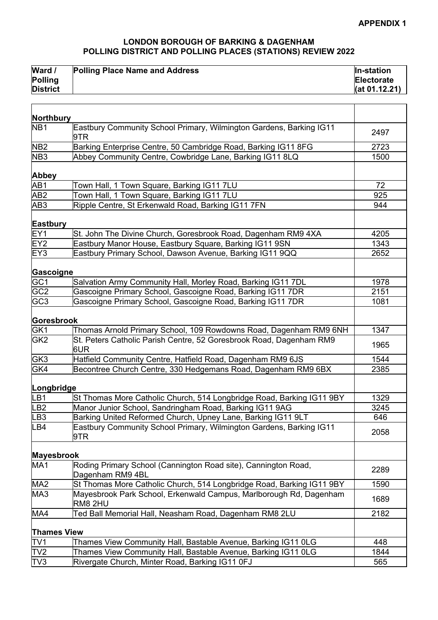## **LONDON BOROUGH OF BARKING & DAGENHAM POLLING DISTRICT AND POLLING PLACES (STATIONS) REVIEW 2022**

| Ward /          | <b>Polling Place Name and Address</b> | In-station    |
|-----------------|---------------------------------------|---------------|
| <b>Polling</b>  |                                       | Electorate    |
| <b>District</b> |                                       | (at 01.12.21) |

| Northbury          |                                                                                      |      |
|--------------------|--------------------------------------------------------------------------------------|------|
| NB <sub>1</sub>    | Eastbury Community School Primary, Wilmington Gardens, Barking IG11<br>l9TR          | 2497 |
| NB <sub>2</sub>    | Barking Enterprise Centre, 50 Cambridge Road, Barking IG11 8FG                       | 2723 |
| NB <sub>3</sub>    | Abbey Community Centre, Cowbridge Lane, Barking IG11 8LQ                             | 1500 |
| <b>Abbey</b>       |                                                                                      |      |
| AB1                | Town Hall, 1 Town Square, Barking IG11 7LU                                           | 72   |
| AB <sub>2</sub>    | Town Hall, 1 Town Square, Barking IG11 7LU                                           | 925  |
| AB <sub>3</sub>    | Ripple Centre, St Erkenwald Road, Barking IG11 7FN                                   | 944  |
| Eastbury           |                                                                                      |      |
| EY1                | St. John The Divine Church, Goresbrook Road, Dagenham RM9 4XA                        | 4205 |
| EY <sub>2</sub>    | Eastbury Manor House, Eastbury Square, Barking IG11 9SN                              | 1343 |
| EY <sub>3</sub>    | Eastbury Primary School, Dawson Avenue, Barking IG11 9QQ                             | 2652 |
| Gascoigne          |                                                                                      |      |
| GC <sub>1</sub>    | Salvation Army Community Hall, Morley Road, Barking IG11 7DL                         | 1978 |
| GC <sub>2</sub>    | Gascoigne Primary School, Gascoigne Road, Barking IG11 7DR                           | 2151 |
| GC <sub>3</sub>    | Gascoigne Primary School, Gascoigne Road, Barking IG11 7DR                           | 1081 |
| Goresbrook         |                                                                                      |      |
| GK1                | Thomas Arnold Primary School, 109 Rowdowns Road, Dagenham RM9 6NH                    | 1347 |
| GK <sub>2</sub>    | St. Peters Catholic Parish Centre, 52 Goresbrook Road, Dagenham RM9<br>6UR           | 1965 |
| GK3                | Hatfield Community Centre, Hatfield Road, Dagenham RM9 6JS                           | 1544 |
| GK4                | Becontree Church Centre, 330 Hedgemans Road, Dagenham RM9 6BX                        | 2385 |
| Longbridge         |                                                                                      |      |
| LB1                | St Thomas More Catholic Church, 514 Longbridge Road, Barking IG11 9BY                | 1329 |
| LB <sub>2</sub>    | Manor Junior School, Sandringham Road, Barking IG11 9AG                              | 3245 |
| LB <sub>3</sub>    | Barking United Reformed Church, Upney Lane, Barking IG11 9LT                         | 646  |
| LB4                | Eastbury Community School Primary, Wilmington Gardens, Barking IG11<br>9TR           | 2058 |
| <b>Mayesbrook</b>  |                                                                                      |      |
| MA <sub>1</sub>    | Roding Primary School (Cannington Road site), Cannington Road,<br>Dagenham RM9 4BL   | 2289 |
| MA <sub>2</sub>    | St Thomas More Catholic Church, 514 Longbridge Road, Barking IG11 9BY                | 1590 |
| MA3                | Mayesbrook Park School, Erkenwald Campus, Marlborough Rd, Dagenham<br><b>RM8 2HU</b> | 1689 |
| MA4                | Ted Ball Memorial Hall, Neasham Road, Dagenham RM8 2LU                               | 2182 |
| <b>Thames View</b> |                                                                                      |      |
| TV1                | Thames View Community Hall, Bastable Avenue, Barking IG11 0LG                        | 448  |
| TV <sub>2</sub>    | Thames View Community Hall, Bastable Avenue, Barking IG11 0LG                        | 1844 |
| TV3                | Rivergate Church, Minter Road, Barking IG11 0FJ                                      | 565  |
|                    |                                                                                      |      |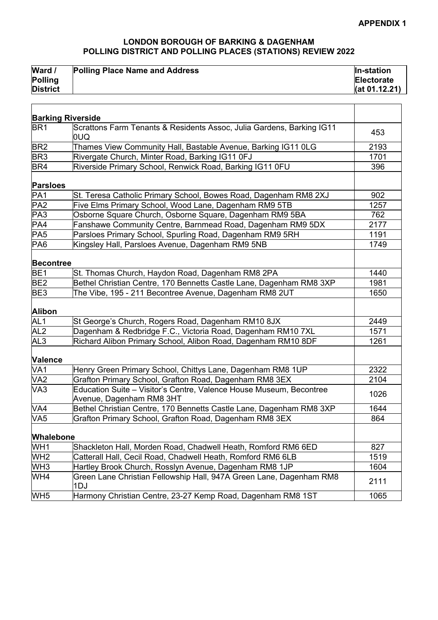## **LONDON BOROUGH OF BARKING & DAGENHAM POLLING DISTRICT AND POLLING PLACES (STATIONS) REVIEW 2022**

| Ward /          | <b>Polling Place Name and Address</b> | In-station    |
|-----------------|---------------------------------------|---------------|
| <b>Polling</b>  |                                       | Electorate    |
| <b>District</b> |                                       | (at 01.12.21) |

|                  | <b>Barking Riverside</b>                                                                        |      |
|------------------|-------------------------------------------------------------------------------------------------|------|
| BR <sub>1</sub>  | Scrattons Farm Tenants & Residents Assoc, Julia Gardens, Barking IG11<br>OUQ.                   | 453  |
| BR <sub>2</sub>  | Thames View Community Hall, Bastable Avenue, Barking IG11 0LG                                   | 2193 |
| BR <sub>3</sub>  | Rivergate Church, Minter Road, Barking IG11 0FJ                                                 | 1701 |
| BR4              | Riverside Primary School, Renwick Road, Barking IG11 0FU                                        | 396  |
| <b>Parsloes</b>  |                                                                                                 |      |
| PA1              | St. Teresa Catholic Primary School, Bowes Road, Dagenham RM8 2XJ                                | 902  |
| PA2              | Five Elms Primary School, Wood Lane, Dagenham RM9 5TB                                           | 1257 |
| PA3              | Osborne Square Church, Osborne Square, Dagenham RM9 5BA                                         | 762  |
| PA4              | Fanshawe Community Centre, Barnmead Road, Dagenham RM9 5DX                                      | 2177 |
| PA <sub>5</sub>  | Parsloes Primary School, Spurling Road, Dagenham RM9 5RH                                        | 1191 |
| PA6              | Kingsley Hall, Parsloes Avenue, Dagenham RM9 5NB                                                | 1749 |
| <b>Becontree</b> |                                                                                                 |      |
| BE <sub>1</sub>  | St. Thomas Church, Haydon Road, Dagenham RM8 2PA                                                | 1440 |
| BE <sub>2</sub>  | Bethel Christian Centre, 170 Bennetts Castle Lane, Dagenham RM8 3XP                             | 1981 |
| BE <sub>3</sub>  | The Vibe, 195 - 211 Becontree Avenue, Dagenham RM8 2UT                                          | 1650 |
| Alibon           |                                                                                                 |      |
| AL <sub>1</sub>  | St George's Church, Rogers Road, Dagenham RM10 8JX                                              | 2449 |
| AL <sub>2</sub>  | Dagenham & Redbridge F.C., Victoria Road, Dagenham RM10 7XL                                     | 1571 |
| AL <sub>3</sub>  | Richard Alibon Primary School, Alibon Road, Dagenham RM10 8DF                                   | 1261 |
| Valence          |                                                                                                 |      |
| VA <sub>1</sub>  | Henry Green Primary School, Chittys Lane, Dagenham RM8 1UP                                      | 2322 |
| VA <sub>2</sub>  | Grafton Primary School, Grafton Road, Dagenham RM8 3EX                                          | 2104 |
| VA <sub>3</sub>  | Education Suite - Visitor's Centre, Valence House Museum, Becontree<br>Avenue, Dagenham RM8 3HT | 1026 |
| VA4              | Bethel Christian Centre, 170 Bennetts Castle Lane, Dagenham RM8 3XP                             | 1644 |
| VA <sub>5</sub>  | Grafton Primary School, Grafton Road, Dagenham RM8 3EX                                          | 864  |
| <b>Whalebone</b> |                                                                                                 |      |
| WH <sub>1</sub>  | Shackleton Hall, Morden Road, Chadwell Heath, Romford RM6 6ED                                   | 827  |
| WH <sub>2</sub>  | Catterall Hall, Cecil Road, Chadwell Heath, Romford RM6 6LB                                     | 1519 |
| WH <sub>3</sub>  | Hartley Brook Church, Rosslyn Avenue, Dagenham RM8 1JP                                          | 1604 |
| WH4              | Green Lane Christian Fellowship Hall, 947A Green Lane, Dagenham RM8                             |      |
|                  | 1DJ                                                                                             | 2111 |
| WH <sub>5</sub>  | Harmony Christian Centre, 23-27 Kemp Road, Dagenham RM8 1ST                                     | 1065 |